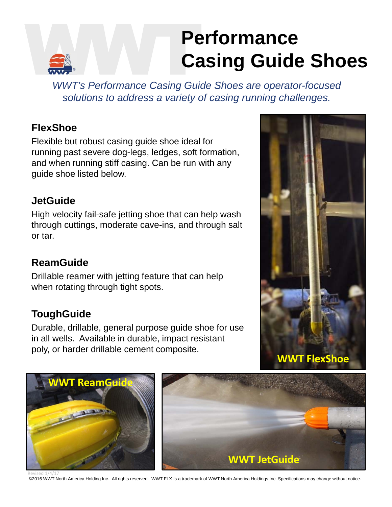# **Performance Casing Guide Shoes**

*WWT's Performance Casing Guide Shoes are operator-focused solutions to address a variety of casing running challenges.* 

## **FlexShoe**

Flexible but robust casing guide shoe ideal for running past severe dog-legs, ledges, soft formation, and when running stiff casing. Can be run with any guide shoe listed below.

## **JetGuide**

High velocity fail-safe jetting shoe that can help wash through cuttings, moderate cave-ins, and through salt or tar.

# **ReamGuide**

Drillable reamer with jetting feature that can help when rotating through tight spots.

# **ToughGuide**

Durable, drillable, general purpose guide shoe for use in all wells. Available in durable, impact resistant poly, or harder drillable cement composite.







Revised 1/4/17<br>©2016 WWT North America Holding Inc. All rights reserved. WWT FLX Is a trademark of WWT North America Holdings Inc. Specifications may change without notice.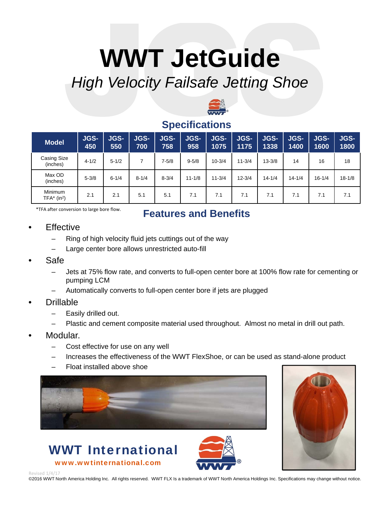# **WWT JetGuide** *High Velocity Failsafe Jetting Shoe*



### **Specifications**

| <b>Model</b>                                | <b>JGS-</b><br>450 | <b>JGS-</b><br>550 | <b>JGS-</b><br>700 | <b>JGS-</b><br>758 | <b>JGS-</b><br>958 | <b>JGS-</b><br>1075 | <b>JGS-</b><br>1175 | <b>JGS-</b><br>1338 | <b>JGS-</b><br>1400 | <b>JGS-</b><br>1600 | <b>JGS-</b><br>1800 |
|---------------------------------------------|--------------------|--------------------|--------------------|--------------------|--------------------|---------------------|---------------------|---------------------|---------------------|---------------------|---------------------|
| Casing Size<br>(inches)                     | $4 - 1/2$          | $5 - 1/2$          |                    | $7 - 5/8$          | $9 - 5/8$          | $10 - 3/4$          | $11 - 3/4$          | $13 - 3/8$          | 14                  | 16                  | 18                  |
| Max OD<br>(inches)                          | $5 - 3/8$          | $6 - 1/4$          | $8 - 1/4$          | $8 - 3/4$          | $11 - 1/8$         | $11 - 3/4$          | $12 - 3/4$          | $14 - 1/4$          | $14 - 1/4$          | $16 - 1/4$          | $18 - 1/8$          |
| <b>Minimum</b><br>$TFA*$ (in <sup>2</sup> ) | 2.1                | 2.1                | 5.1                | 5.1                | 7.1                | 7.1                 | 7.1                 | 7.1                 | 7.1                 | 7.1                 | 7.1                 |

\*TFA after conversion to large bore flow.

## **Features and Benefits**

#### **Effective**

- Ring of high velocity fluid jets cuttings out of the way
- Large center bore allows unrestricted auto-fill
- Safe
	- Jets at 75% flow rate, and converts to full-open center bore at 100% flow rate for cementing or pumping LCM
	- Automatically converts to full-open center bore if jets are plugged
- Drillable
	- Easily drilled out.
	- Plastic and cement composite material used throughout. Almost no metal in drill out path.
- Modular.
	- Cost effective for use on any well

WWT International

www.wwtinternational.com

- Increases the effectiveness of the WWT FlexShoe, or can be used as stand-alone product
- Float installed above shoe





Revised 1/4/1

©2016 WWT North America Holding Inc. All rights reserved. WWT FLX Is a trademark of WWT North America Holdings Inc. Specifications may change without notice.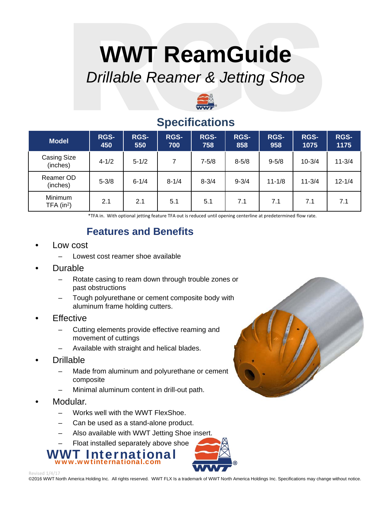# **WWT ReamGuide** *Drillable Reamer & Jetting Shoe*



## **Specifications**

| <b>Model</b>                   | <b>RGS-</b><br>450 | <b>RGS-</b><br>550 | <b>RGS-</b><br>700 | <b>RGS-</b><br>758 | <b>RGS-</b><br>858 | <b>RGS-</b><br>958 | <b>RGS-</b><br>1075 | <b>RGS-</b><br>1175 |
|--------------------------------|--------------------|--------------------|--------------------|--------------------|--------------------|--------------------|---------------------|---------------------|
| <b>Casing Size</b><br>(inches) | $4 - 1/2$          | $5 - 1/2$          | 7                  | $7 - 5/8$          | $8 - 5/8$          | $9 - 5/8$          | $10 - 3/4$          | $11 - 3/4$          |
| Reamer OD<br>(inches)          | $5 - 3/8$          | $6 - 1/4$          | $8 - 1/4$          | $8 - 3/4$          | $9 - 3/4$          | $11 - 1/8$         | $11 - 3/4$          | $12 - 1/4$          |
| Minimum<br>TFA $(in^2)$        | 2.1                | 2.1                | 5.1                | 5.1                | 7.1                | 7.1                | 7.1                 | 7.1                 |

\*TFA in. With optional jetting feature TFA out is reduced until opening centerline at predetermined flow rate.

## **Features and Benefits**

- Low cost
	- Lowest cost reamer shoe available
- Durable
	- Rotate casing to ream down through trouble zones or past obstructions
	- Tough polyurethane or cement composite body with aluminum frame holding cutters.
- **Effective** 
	- Cutting elements provide effective reaming and movement of cuttings
	- Available with straight and helical blades.
- Drillable
	- Made from aluminum and polyurethane or cement composite
	- Minimal aluminum content in drill-out path.
- Modular.
	- Works well with the WWT FlexShoe.
	- Can be used as a stand-alone product.
	- Also available with WWT Jetting Shoe insert.
	- Float installed separately above shoe

WWT International www.wwtinternational.com



Revised 1/4/

©2016 WWT North America Holding Inc. All rights reserved. WWT FLX Is a trademark of WWT North America Holdings Inc. Specifications may change without notice.